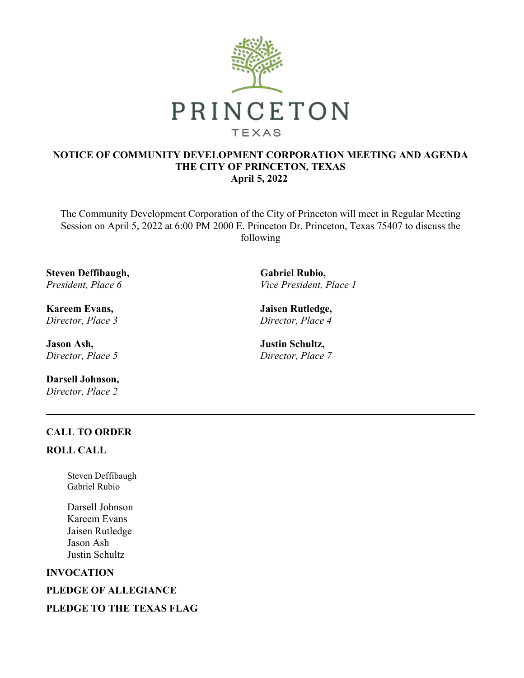

### **NOTICE OF COMMUNITY DEVELOPMENT CORPORATION MEETING AND AGENDA THE CITY OF PRINCETON, TEXAS April 5, 2022**

The Community Development Corporation of the City of Princeton will meet in Regular Meeting Session on April 5, 2022 at 6:00 PM 2000 E. Princeton Dr. Princeton, Texas 75407 to discuss the following

**Steven Deffibaugh,** *President, Place 6*

**Kareem Evans,** *Director, Place 3*

**Jason Ash,** *Director, Place 5*

**Darsell Johnson,** *Director, Place 2*

**Gabriel Rubio,** *Vice President, Place 1*

**Jaisen Rutledge,** *Director, Place 4*

**Justin Schultz,** *Director, Place 7*

# **CALL TO ORDER**

#### **ROLL CALL**

Steven Deffibaugh Gabriel Rubio

Darsell Johnson Kareem Evans Jaisen Rutledge Jason Ash Justin Schultz

#### **INVOCATION**

**PLEDGE OF ALLEGIANCE**

# **PLEDGE TO THE TEXAS FLAG**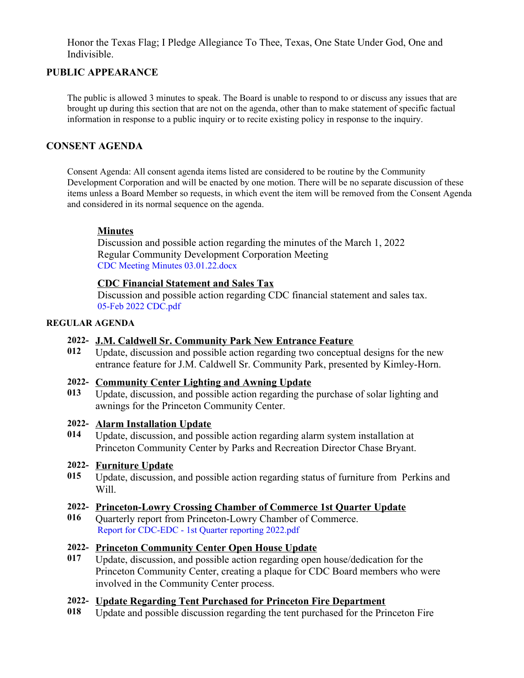Honor the Texas Flag; I Pledge Allegiance To Thee, Texas, One State Under God, One and Indivisible.

# **PUBLIC APPEARANCE**

The public is allowed 3 minutes to speak. The Board is unable to respond to or discuss any issues that are brought up during this section that are not on the agenda, other than to make statement of specific factual information in response to a public inquiry or to recite existing policy in response to the inquiry.

### **CONSENT AGENDA**

Consent Agenda: All consent agenda items listed are considered to be routine by the Community Development Corporation and will be enacted by one motion. There will be no separate discussion of these items unless a Board Member so requests, in which event the item will be removed from the Consent Agenda and considered in its normal sequence on the agenda.

# **Minutes**

Discussion and possible action regarding the minutes of the March 1, 2022 Regular Community Development Corporation Meeting CDC Meeting Minutes [03.01.22.docx](https://legistarweb-production.s3.amazonaws.com/uploads/attachment/pdf/1294571/CDC_Meeting_Minutes_03.01.22.pdf)

### **CDC Financial Statement and Sales Tax**

Discussion and possible action regarding CDC financial statement and sales tax. 05-Feb 2022 [CDC.pdf](https://legistarweb-production.s3.amazonaws.com/uploads/attachment/pdf/1294572/05-Feb_2022_CDC.pdf)

#### **REGULAR AGENDA**

### **2022- J.M. Caldwell Sr. Community Park New Entrance Feature**

**012** Update, discussion and possible action regarding two conceptual designs for the new entrance feature for J.M. Caldwell Sr. Community Park, presented by Kimley-Horn.

#### **2022- Community Center Lighting and Awning Update**

**013** Update, discussion, and possible action regarding the purchase of solar lighting and awnings for the Princeton Community Center.

#### **2022- Alarm Installation Update**

**014** Update, discussion, and possible action regarding alarm system installation at Princeton Community Center by Parks and Recreation Director Chase Bryant.

#### **2022- Furniture Update**

**015** Update, discussion, and possible action regarding status of furniture from Perkins and Will.

#### **2022- Princeton-Lowry Crossing Chamber of Commerce 1st Quarter Update**

**016** Quarterly report from Princeton-Lowry Chamber of Commerce. Report for [CDC-EDC](https://legistarweb-production.s3.amazonaws.com/uploads/attachment/pdf/1304068/Report_for_CDC-EDC_-_1st_Quarter_reporting_2022.pdf) - 1st Quarter reporting 2022.pdf

# **2022- Princeton Community Center Open House Update**

**017** Update, discussion, and possible action regarding open house/dedication for the Princeton Community Center, creating a plaque for CDC Board members who were involved in the Community Center process.

# **2022- Update Regarding Tent Purchased for Princeton Fire Department**

**018** Update and possible discussion regarding the tent purchased for the Princeton Fire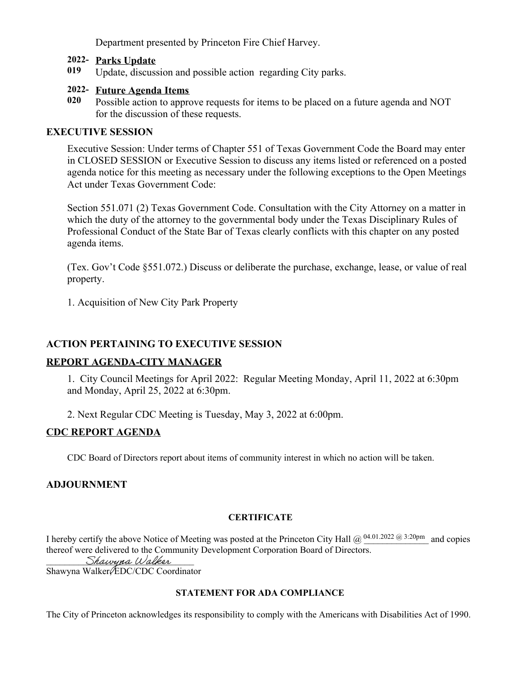Department presented by Princeton Fire Chief Harvey.

### **2022- Parks Update**

**019** Update, discussion and possible action regarding City parks.

### **2022- Future Agenda Items**

**020** Possible action to approve requests for items to be placed on a future agenda and NOT for the discussion of these requests.

### **EXECUTIVE SESSION**

Executive Session: Under terms of Chapter 551 of Texas Government Code the Board may enter in CLOSED SESSION or Executive Session to discuss any items listed or referenced on a posted agenda notice for this meeting as necessary under the following exceptions to the Open Meetings Act under Texas Government Code:

Section 551.071 (2) Texas Government Code. Consultation with the City Attorney on a matter in which the duty of the attorney to the governmental body under the Texas Disciplinary Rules of Professional Conduct of the State Bar of Texas clearly conflicts with this chapter on any posted agenda items.

(Tex. Gov't Code §551.072.) Discuss or deliberate the purchase, exchange, lease, or value of real property.

1. Acquisition of New City Park Property

# **ACTION PERTAINING TO EXECUTIVE SESSION**

#### **REPORT AGENDA-CITY MANAGER**

1. City Council Meetings for April 2022: Regular Meeting Monday, April 11, 2022 at 6:30pm and Monday, April 25, 2022 at 6:30pm.

2. Next Regular CDC Meeting is Tuesday, May 3, 2022 at 6:00pm.

# **CDC REPORT AGENDA**

CDC Board of Directors report about items of community interest in which no action will be taken.

# **ADJOURNMENT**

#### **CERTIFICATE**

I hereby certify the above Notice of Meeting was posted at the Princeton City Hall  $@ \overset{04.01.2022}{\omega} @ \overset{3:20pm}{\omega}$  and copies thereof were delivered to the Community Development Corporation Board of Directors. Shawyna Walker

Shawyna Walker, *EDC*/CDC Coordinator

#### **STATEMENT FOR ADA COMPLIANCE**

The City of Princeton acknowledges its responsibility to comply with the Americans with Disabilities Act of 1990.